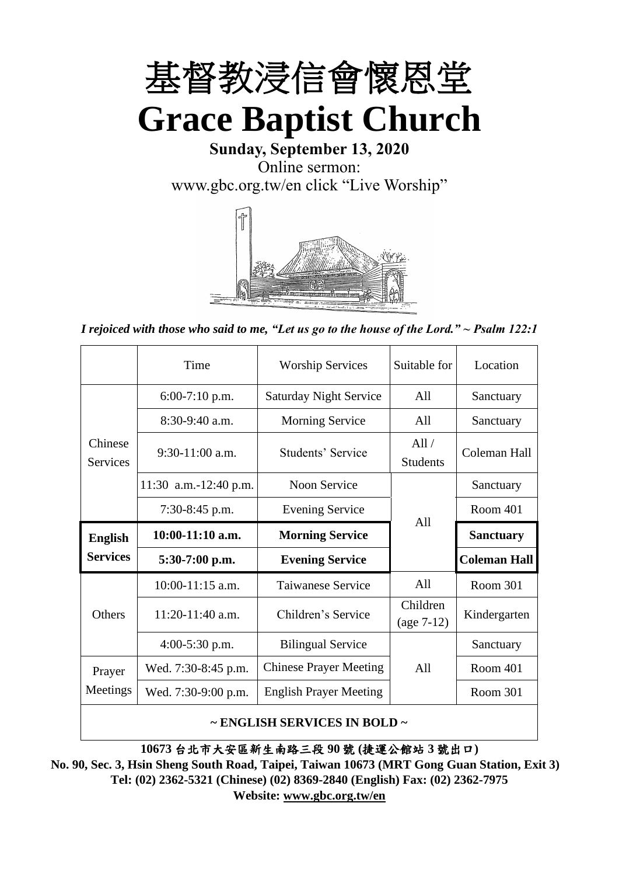

**Sunday, September 13, 2020** Online sermon: [www.gbc.org.tw/en](http://www.gbc.org.tw/en) click "Live Worship"



*I rejoiced with those who said to me, "Let us go to the house of the Lord." ~ Psalm 122:1*

|                            | Time                  | <b>Worship Services</b>       | Suitable for             | Location            |
|----------------------------|-----------------------|-------------------------------|--------------------------|---------------------|
|                            | $6:00-7:10$ p.m.      | <b>Saturday Night Service</b> | All                      | Sanctuary           |
|                            | $8:30-9:40$ a.m.      | <b>Morning Service</b>        | All                      | Sanctuary           |
| Chinese<br><b>Services</b> | $9:30-11:00$ a.m.     | Students' Service             | All/<br><b>Students</b>  | Coleman Hall        |
|                            | 11:30 a.m.-12:40 p.m. | Noon Service                  |                          | Sanctuary           |
|                            | $7:30-8:45$ p.m.      | <b>Evening Service</b>        | A11                      | Room 401            |
|                            |                       |                               |                          |                     |
| <b>English</b>             | $10:00-11:10$ a.m.    | <b>Morning Service</b>        |                          | <b>Sanctuary</b>    |
| <b>Services</b>            | $5:30-7:00$ p.m.      | <b>Evening Service</b>        |                          | <b>Coleman Hall</b> |
|                            | 10:00-11:15 a.m.      | <b>Taiwanese Service</b>      | All                      | Room 301            |
| <b>Others</b>              | $11:20-11:40$ a.m.    | Children's Service            | Children<br>$(age 7-12)$ | Kindergarten        |
|                            | $4:00-5:30$ p.m.      | <b>Bilingual Service</b>      |                          | Sanctuary           |
| Prayer                     | Wed. 7:30-8:45 p.m.   | <b>Chinese Prayer Meeting</b> | A11                      | Room 401            |
| Meetings                   | Wed. 7:30-9:00 p.m.   | <b>English Prayer Meeting</b> |                          | Room 301            |

#### **~ ENGLISH SERVICES IN BOLD ~**

**10673** 台北市大安區新生南路三段 **90** 號 **(**捷運公館站 **3** 號出口**)**

**No. 90, Sec. 3, Hsin Sheng South Road, Taipei, Taiwan 10673 (MRT Gong Guan Station, Exit 3) Tel: (02) 2362-5321 (Chinese) (02) 8369-2840 (English) Fax: (02) 2362-7975 Website: [www.gbc.org.tw/en](http://www.gbc.org.tw/en)**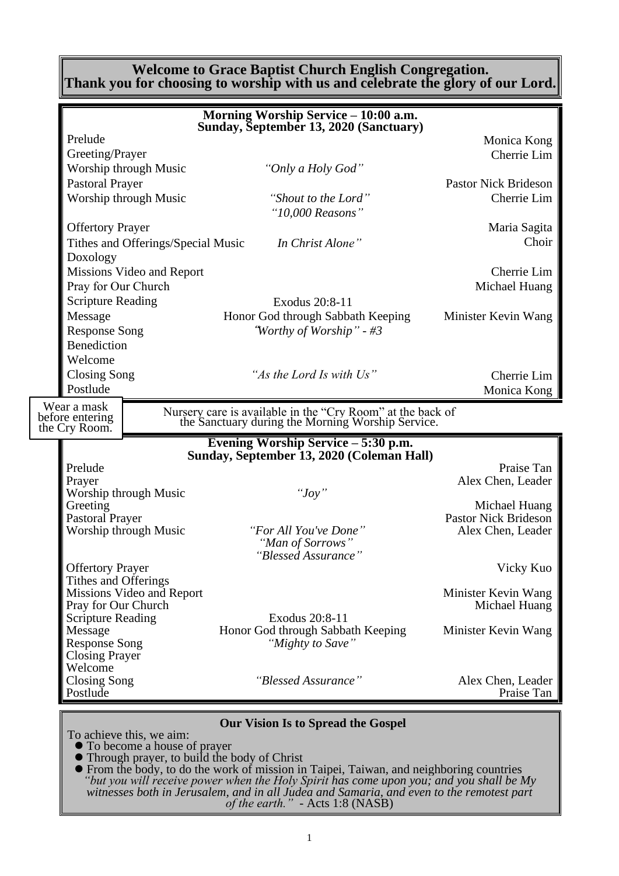#### **Welcome to Grace Baptist Church English Congregation. Thank you for choosing to worship with us and celebrate the glory of our Lord.**

| Morning Worship Service - 10:00 a.m.<br>Sunday, September 13, 2020 (Sanctuary) |                                    |                                                                                                                 |                                       |  |  |
|--------------------------------------------------------------------------------|------------------------------------|-----------------------------------------------------------------------------------------------------------------|---------------------------------------|--|--|
|                                                                                |                                    |                                                                                                                 |                                       |  |  |
| Prelude                                                                        |                                    |                                                                                                                 | Monica Kong                           |  |  |
| Greeting/Prayer                                                                |                                    |                                                                                                                 | Cherrie Lim                           |  |  |
| Worship through Music                                                          |                                    | "Only a Holy God"                                                                                               |                                       |  |  |
| <b>Pastoral Prayer</b>                                                         |                                    |                                                                                                                 | <b>Pastor Nick Brideson</b>           |  |  |
| Worship through Music                                                          |                                    | "Shout to the Lord"                                                                                             | Cherrie Lim                           |  |  |
|                                                                                |                                    | "10,000 Reasons"                                                                                                |                                       |  |  |
| <b>Offertory Prayer</b>                                                        |                                    |                                                                                                                 | Maria Sagita                          |  |  |
| Doxology                                                                       | Tithes and Offerings/Special Music | In Christ Alone"                                                                                                | Choir                                 |  |  |
|                                                                                | Missions Video and Report          |                                                                                                                 | Cherrie Lim                           |  |  |
| Pray for Our Church                                                            |                                    |                                                                                                                 | Michael Huang                         |  |  |
| <b>Scripture Reading</b>                                                       |                                    | Exodus 20:8-11                                                                                                  |                                       |  |  |
| Message                                                                        |                                    | Honor God through Sabbath Keeping                                                                               | Minister Kevin Wang                   |  |  |
| <b>Response Song</b>                                                           |                                    | "Worthy of Worship" - #3                                                                                        |                                       |  |  |
| <b>Benediction</b>                                                             |                                    |                                                                                                                 |                                       |  |  |
| Welcome                                                                        |                                    |                                                                                                                 |                                       |  |  |
| <b>Closing Song</b>                                                            |                                    | "As the Lord Is with Us"                                                                                        | Cherrie Lim                           |  |  |
| Postlude                                                                       |                                    |                                                                                                                 | Monica Kong                           |  |  |
| Wear a mask                                                                    |                                    |                                                                                                                 |                                       |  |  |
| before entering                                                                |                                    | Nursery care is available in the "Cry Room" at the back of<br>the Sanctuary during the Morning Worship Service. |                                       |  |  |
| the Cry Room.                                                                  |                                    |                                                                                                                 |                                       |  |  |
|                                                                                |                                    | Evening Worship Service – 5:30 p.m.<br>Sunday, September 13, 2020 (Coleman Hall)                                |                                       |  |  |
| Prelude                                                                        |                                    |                                                                                                                 | Praise Tan                            |  |  |
| Prayer                                                                         |                                    |                                                                                                                 | Alex Chen, Leader                     |  |  |
| Worship through Music                                                          |                                    | " $Joy$ "                                                                                                       |                                       |  |  |
| Greeting                                                                       |                                    |                                                                                                                 | Michael Huang<br>Pastor Nick Brideson |  |  |
| Pastoral Prayer<br><b>Worship through Music</b>                                |                                    | "For All You've Done"                                                                                           | Alex Chen, Leader                     |  |  |
|                                                                                |                                    | "Man of Sorrows"                                                                                                |                                       |  |  |
|                                                                                |                                    | "Blessed Assurance"                                                                                             |                                       |  |  |
| <b>Offertory Prayer</b>                                                        |                                    |                                                                                                                 | Vicky Kuo                             |  |  |
| Tithes and Offerings                                                           |                                    |                                                                                                                 |                                       |  |  |
|                                                                                | Missions Video and Report          |                                                                                                                 | Minister Kevin Wang                   |  |  |
| Pray for Our Church                                                            |                                    | Exodus 20:8-11                                                                                                  | Michael Huang                         |  |  |
| <b>Scripture Reading</b><br>Message                                            |                                    | Honor God through Sabbath Keeping                                                                               | Minister Kevin Wang                   |  |  |
| <b>Response Song</b>                                                           |                                    | "Mighty to Save"                                                                                                |                                       |  |  |
| <b>Closing Prayer</b>                                                          |                                    |                                                                                                                 |                                       |  |  |
| Welcome                                                                        |                                    |                                                                                                                 |                                       |  |  |
| <b>Closing Song</b>                                                            |                                    | "Blessed Assurance"                                                                                             | Alex Chen, Leader                     |  |  |
| Postlude                                                                       |                                    |                                                                                                                 | Praise Tan                            |  |  |
|                                                                                |                                    | Our Vision Is to Spread the Cospel                                                                              |                                       |  |  |

**Our Vision Is to Spread the Gospel**

To achieve this, we aim:

⚫ To become a house of prayer

⚫ Through prayer, to build the body of Christ

⚫ From the body, to do the work of mission in Taipei, Taiwan, and neighboring countries *"but you will receive power when the Holy Spirit has come upon you; and you shall be My witnesses both in Jerusalem, and in all Judea and Samaria, and even to the remotest part of the earth." -* Acts 1:8 (NASB)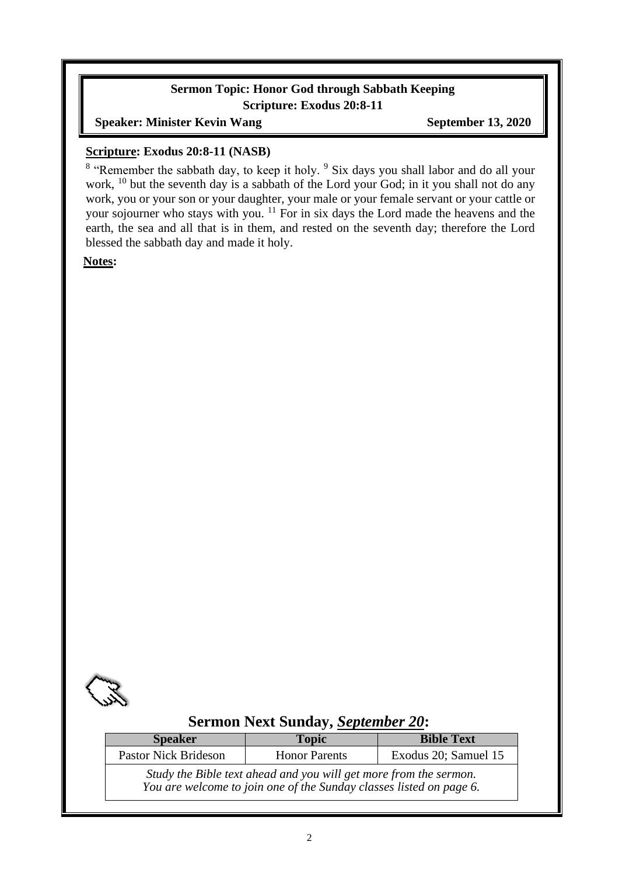### **Sermon Topic: Honor God through Sabbath Keeping Scripture: Exodus 20:8-11**

#### **Speaker: Minister Kevin Wang September 13, 2020**

#### **Scripture: Exodus 20:8-11 (NASB)**

<sup>8</sup> "Remember the sabbath day, to keep it holy. <sup>9</sup> Six days you shall labor and do all your work, <sup>10</sup> but the seventh day is a sabbath of the Lord your God; in it you shall not do any work, you or your son or your daughter, your male or your female servant or your cattle or your sojourner who stays with you.<sup>11</sup> For in six days the Lord made the heavens and the earth, the sea and all that is in them, and rested on the seventh day; therefore the Lord blessed the sabbath day and made it holy.

**Notes:**



### **Sermon Next Sunday,** *September 20***:**

| <b>Speaker</b>                                                                                                                           | <b>Topic</b>         | <b>Bible Text</b>    |  |  |
|------------------------------------------------------------------------------------------------------------------------------------------|----------------------|----------------------|--|--|
| <b>Pastor Nick Brideson</b>                                                                                                              | <b>Honor Parents</b> | Exodus 20; Samuel 15 |  |  |
| Study the Bible text ahead and you will get more from the sermon.<br>You are welcome to join one of the Sunday classes listed on page 6. |                      |                      |  |  |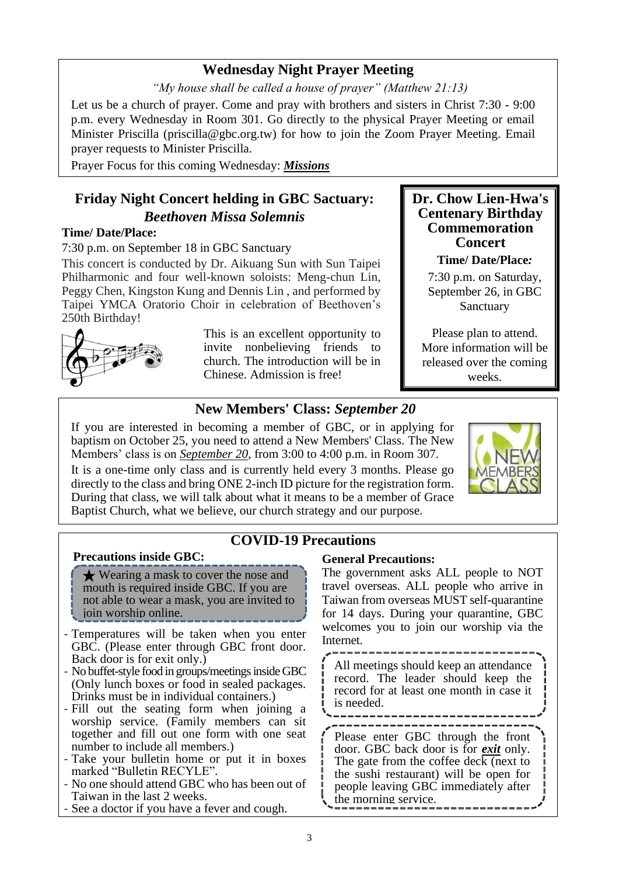### **Wednesday Night Prayer Meeting**

*"My house shall be called a house of prayer" (Matthew 21:13)*

Let us be a church of prayer. Come and pray with brothers and sisters in Christ 7:30 - 9:00 p.m. every Wednesday in Room 301. Go directly to the physical Prayer Meeting or email Minister Priscilla (priscilla@gbc.org.tw) for how to join the Zoom Prayer Meeting. Email prayer requests to Minister Priscilla.

Prayer Focus for this coming Wednesday: *Missions*

# **Friday Night Concert helding in GBC Sactuary:** *Beethoven Missa Solemnis*

#### **Time/ Date/Place:**

7:30 p.m. on September 18 in GBC Sanctuary

This concert is conducted by Dr. Aikuang Sun with Sun Taipei Philharmonic and four well-known soloists: Meng-chun Lin, Peggy Chen, Kingston Kung and Dennis Lin , and performed by Taipei YMCA Oratorio Choir in celebration of Beethoven's 250th Birthday!



This is an excellent opportunity to invite nonbelieving friends to church. The introduction will be in Chinese. Admission is free!

### **New Members' Class:** *September 20*

If you are interested in becoming a member of GBC, or in applying for baptism on October 25, you need to attend a New Members' Class. The New Members' class is on *September 20*, from 3:00 to 4:00 p.m. in Room 307.

It is a one-time only class and is currently held every 3 months. Please go directly to the class and bring ONE 2-inch ID picture for the registration form. During that class, we will talk about what it means to be a member of Grace Baptist Church, what we believe, our church strategy and our purpose.



**Dr. Chow Lien-Hwa's Centenary Birthday Commemoration Concert Time/ Date/Place***:* 7:30 p.m. on Saturday, September 26, in GBC Sanctuary

Please plan to attend. More information will be released over the coming weeks.

# **COVID-19 Precautions**

#### **Precautions inside GBC:**

★ Wearing a mask to cover the nose and mouth is required inside GBC. If you are not able to wear a mask, you are invited to **j** join worship online.

- Temperatures will be taken when you enter GBC. (Please enter through GBC front door. Back door is for exit only.)
- No buffet-style food in groups/meetings inside GBC (Only lunch boxes or food in sealed packages. Drinks must be in individual containers.)
- Fill out the seating form when joining a worship service. (Family members can sit together and fill out one form with one seat number to include all members.)
- Take your bulletin home or put it in boxes marked "Bulletin RECYLE".
- No one should attend GBC who has been out of Taiwan in the last 2 weeks.
- See a doctor if you have a fever and cough.

#### **General Precautions:**

The government asks ALL people to NOT travel overseas. ALL people who arrive in Taiwan from overseas MUST self-quarantine for 14 days. During your quarantine, GBC welcomes you to join our worship via the **Internet** 

All meetings should keep an attendance record. The leader should keep the record for at least one month in case it is needed.

Please enter GBC through the front door. GBC back door is for *exit* only. The gate from the coffee deck (next to the sushi restaurant) will be open for people leaving GBC immediately after the morning service.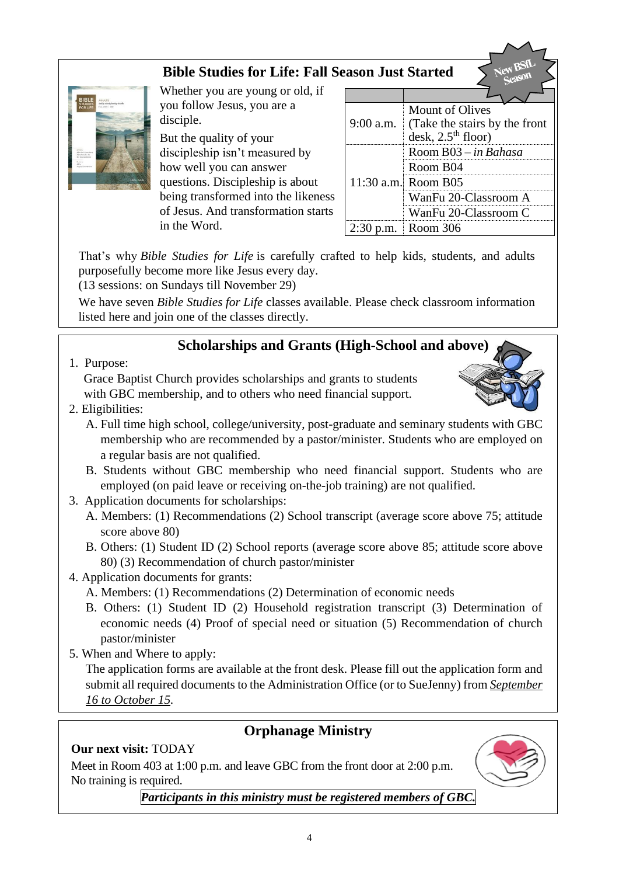# **Bible Studies for Life: Fall Season Just Started**



Whether you are young or old, if you follow Jesus, you are a disciple.

But the quality of your discipleship isn't measured by how well you can answer questions. Discipleship is about being transformed into the likeness of Jesus. And transformation starts in the Word.

|             | <b>Mount of Olives</b>        |
|-------------|-------------------------------|
| $9:00$ a.m. | (Take the stairs by the front |
|             | desk, $2.5th$ floor)          |
|             | Room B03 - in Bahasa          |
|             | Room B04                      |
|             | 11:30 a.m. Room B05           |
|             | WanFu 20-Classroom A          |
|             | WanFu 20-Classroom C          |
| 2:30        | $p.m.$ Room 306               |

That's why *Bible Studies for Life* is carefully crafted to help kids, students, and adults purposefully become more like Jesus every day.

(13 sessions: on Sundays till November 29)

We have seven *Bible Studies for Life* classes available. Please check classroom information listed here and join one of the classes directly.

# **Scholarships and Grants (High-School and above)**

1. Purpose:

Grace Baptist Church provides scholarships and grants to students with GBC membership, and to others who need financial support.

2. Eligibilities:



- B. Students without GBC membership who need financial support. Students who are employed (on paid leave or receiving on-the-job training) are not qualified.
- 3. Application documents for scholarships:
	- A. Members: (1) Recommendations (2) School transcript (average score above 75; attitude score above 80)
	- B. Others: (1) Student ID (2) School reports (average score above 85; attitude score above 80) (3) Recommendation of church pastor/minister
- 4. Application documents for grants:
	- A. Members: (1) Recommendations (2) Determination of economic needs
	- B. Others: (1) Student ID (2) Household registration transcript (3) Determination of economic needs (4) Proof of special need or situation (5) Recommendation of church pastor/minister
- 5. When and Where to apply:

The application forms are available at the front desk. Please fill out the application form and submit all required documents to the Administration Office (or to SueJenny) from *September 16 to October 15.*

# **Orphanage Ministry**

### **Our next visit:** TODAY

Meet in Room 403 at 1:00 p.m. and leave GBC from the front door at 2:00 p.m. No training is required.



*Participants in this ministry must be registered members of GBC.*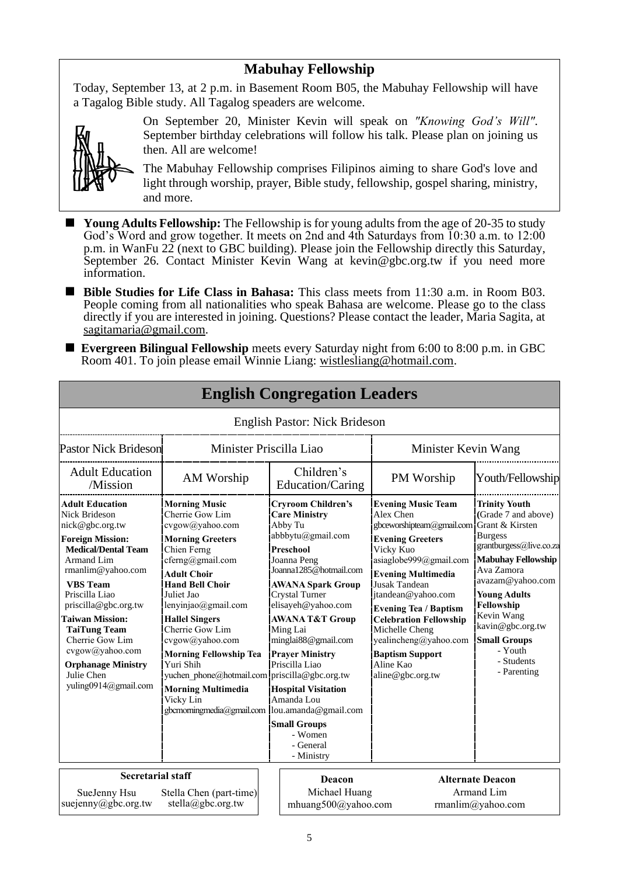### **Mabuhay Fellowship**

Today, September 13, at 2 p.m. in Basement Room B05, the Mabuhay Fellowship will have a Tagalog Bible study. All Tagalog speaders are welcome.



On September 20, Minister Kevin will speak on *"Knowing God's Will"*. September birthday celebrations will follow his talk. Please plan on joining us then. All are welcome!

The Mabuhay Fellowship comprises Filipinos aiming to share God's love and light through worship, prayer, Bible study, fellowship, gospel sharing, ministry, and more.

■ Young Adults Fellowship: The Fellowship is for young adults from the age of 20–35 to study God's Word and grow together. It meets on 2nd and 4th Saturdays from 10:30 a.m. to 12:00 p.m. in WanFu 22 (next to GBC building). Please join the Fellowship directly this Saturday, September 26. Contact Minister Kevin Wang at kevin@gbc.org.tw if you need more information.

- Bible Studies for Life Class in Bahasa: This class meets from 11:30 a.m. in Room B03. People coming from all nationalities who speak Bahasa are welcome. Please go to the class directly if you are interested in joining. Questions? Please contact the leader, Maria Sagita, at sagitamaria@gmail.com.
- **Evergreen Bilingual Fellowship** meets every Saturday night from 6:00 to 8:00 p.m. in GBC Room 401. To join please email Winnie Liang: [wistlesliang@hotmail.com.](mailto:wistlesliang@hotmail.com)

**English Congregation Leaders**

|                                                                                                                                                                                                                                                                                                                                                                                         |                                                                                                                                                                                                                                                                                                                                                                                                                       |                                                                                                                                                                                                                                                                                                                                                                                                                                                                                            | Ендівн Сондгеданон Есайсі э          |                                                                                                                                                                                                                                                                                                                                                                                                         |                                                                                                                                                                                                                                                                                               |
|-----------------------------------------------------------------------------------------------------------------------------------------------------------------------------------------------------------------------------------------------------------------------------------------------------------------------------------------------------------------------------------------|-----------------------------------------------------------------------------------------------------------------------------------------------------------------------------------------------------------------------------------------------------------------------------------------------------------------------------------------------------------------------------------------------------------------------|--------------------------------------------------------------------------------------------------------------------------------------------------------------------------------------------------------------------------------------------------------------------------------------------------------------------------------------------------------------------------------------------------------------------------------------------------------------------------------------------|--------------------------------------|---------------------------------------------------------------------------------------------------------------------------------------------------------------------------------------------------------------------------------------------------------------------------------------------------------------------------------------------------------------------------------------------------------|-----------------------------------------------------------------------------------------------------------------------------------------------------------------------------------------------------------------------------------------------------------------------------------------------|
|                                                                                                                                                                                                                                                                                                                                                                                         |                                                                                                                                                                                                                                                                                                                                                                                                                       |                                                                                                                                                                                                                                                                                                                                                                                                                                                                                            | <b>English Pastor: Nick Brideson</b> |                                                                                                                                                                                                                                                                                                                                                                                                         |                                                                                                                                                                                                                                                                                               |
| <b>Pastor Nick Brideson</b>                                                                                                                                                                                                                                                                                                                                                             |                                                                                                                                                                                                                                                                                                                                                                                                                       | Minister Priscilla Liao                                                                                                                                                                                                                                                                                                                                                                                                                                                                    |                                      | Minister Kevin Wang                                                                                                                                                                                                                                                                                                                                                                                     |                                                                                                                                                                                                                                                                                               |
| <b>Adult Education</b><br>/Mission                                                                                                                                                                                                                                                                                                                                                      | AM Worship                                                                                                                                                                                                                                                                                                                                                                                                            |                                                                                                                                                                                                                                                                                                                                                                                                                                                                                            | Children's                           | PM Worship                                                                                                                                                                                                                                                                                                                                                                                              | Youth/Fellowship                                                                                                                                                                                                                                                                              |
| <b>Adult Education</b><br><b>Nick Brideson</b><br>nick@gbc.org.tw<br><b>Foreign Mission:</b><br><b>Medical/Dental Team</b><br>Armand Lim<br>$r$ manlim@yahoo.com<br><b>VBS</b> Team<br>Priscilla Liao<br>priscilla@gbc.org.tw<br><b>Taiwan Mission:</b><br><b>TaiTung Team</b><br>Cherrie Gow Lim<br>cvgow@yahoo.com<br><b>Orphanage Ministry</b><br>Julie Chen<br>yuling0914@gmail.com | <b>Morning Music</b><br>Cherrie Gow Lim<br>cvgow@yahoo.com<br><b>Morning Greeters</b><br>Chien Ferng<br>cferng@gmail.com<br><b>Adult Choir</b><br><b>Hand Bell Choir</b><br>Juliet Jao<br>lenyinjao@gmail.com<br><b>Hallel Singers</b><br>Cherrie Gow Lim<br>cvgow@yahoo.com<br><b>Morning Fellowship Tea</b><br>Yuri Shih<br>yuchen phone@hotmail.com priscilla@gbc.org.tw<br><b>Morning Multimedia</b><br>Vicky Lin | Education/Caring<br><b>Cryroom Children's</b><br><b>Care Ministry</b><br>Abby Tu<br>abbbytu@gmail.com<br>Preschool<br>Joanna Peng<br>Joanna1285@hotmail.com<br><b>AWANA Spark Group</b><br>Crystal Turner<br>elisayeh@yahoo.com<br><b>AWANA T&amp;T Group</b><br>Ming Lai<br>minglai88@gmail.com<br><b>Prayer Ministry</b><br>Priscilla Liao<br><b>Hospital Visitation</b><br>Amanda Lou<br>gbcmorningmedia@gmail.com  lou.amanda@gmail.com<br><b>Small Groups</b><br>- Women<br>- General |                                      | <b>Evening Music Team</b><br>Alex Chen<br>gbceworshipteam@gmail.com Grant & Kirsten<br><b>Evening Greeters</b><br>Vicky Kuo<br>asiaglobe999@gmail.com<br><b>Evening Multimedia</b><br><b>Jusak Tandean</b><br>jtandean@yahoo.com<br><b>Evening Tea / Baptism</b><br><b>Celebration Fellowship</b><br>Michelle Cheng<br>yealincheng@yahoo.com<br><b>Baptism Support</b><br>Aline Kao<br>aline@gbc.org.tw | <b>Trinity Youth</b><br>(Grade 7 and above)<br><b>Burgess</b><br>grantburgess@live.co.za<br><b>Mabuhay Fellowship</b><br>Ava Zamora<br>avazam@yahoo.com<br><b>Young Adults</b><br>Fellowship<br>Kevin Wang<br>kavin@gbc.org.tw<br><b>Small Groups</b><br>- Youth<br>- Students<br>- Parenting |
| <b>Secretarial staff</b>                                                                                                                                                                                                                                                                                                                                                                |                                                                                                                                                                                                                                                                                                                                                                                                                       |                                                                                                                                                                                                                                                                                                                                                                                                                                                                                            | - Ministry<br>Deacon                 |                                                                                                                                                                                                                                                                                                                                                                                                         | <b>Alternate Deacon</b>                                                                                                                                                                                                                                                                       |
| SueJenny Hsu<br>suejenny@gbc.org.tw                                                                                                                                                                                                                                                                                                                                                     | Stella Chen (part-time)<br>stella@gbc.org.tw                                                                                                                                                                                                                                                                                                                                                                          |                                                                                                                                                                                                                                                                                                                                                                                                                                                                                            | Michael Huang<br>mhuang500@yahoo.com |                                                                                                                                                                                                                                                                                                                                                                                                         | Armand Lim<br>rmanlim@yahoo.com                                                                                                                                                                                                                                                               |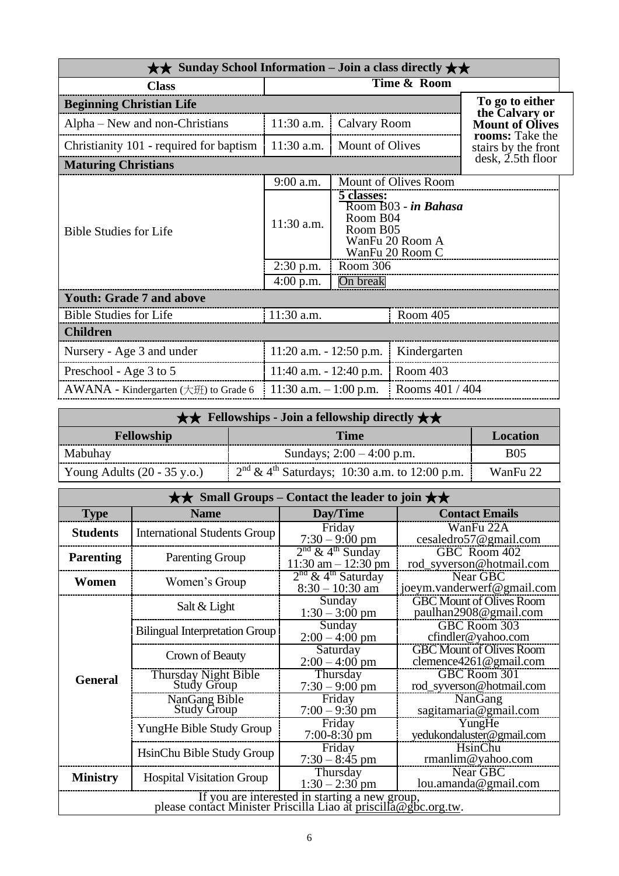| $\star\star$ Sunday School Information – Join a class directly $\star\star$ |                                            |                        |                                                                                    |                                        |
|-----------------------------------------------------------------------------|--------------------------------------------|------------------------|------------------------------------------------------------------------------------|----------------------------------------|
| <b>Time &amp; Room</b><br><b>Class</b>                                      |                                            |                        |                                                                                    |                                        |
| <b>Beginning Christian Life</b>                                             |                                            |                        |                                                                                    | To go to either<br>the Calvary or      |
| Alpha – New and non-Christians                                              | 11:30 a.m.                                 | Calvary Room           |                                                                                    | <b>Mount of Olives</b>                 |
| Christianity 101 - required for baptism                                     | $11:30$ a.m.                               | <b>Mount of Olives</b> |                                                                                    | rooms: Take the<br>stairs by the front |
| <b>Maturing Christians</b>                                                  |                                            |                        |                                                                                    | desk, 2.5th floor                      |
|                                                                             | 9:00 a.m.                                  |                        | Mount of Olives Room                                                               |                                        |
| <b>Bible Studies for Life</b>                                               | 11:30 a.m.                                 | 5 classes:             | Room B03 - in Bahasa<br>Room B04<br>Room B05<br>WanFu 20 Room A<br>WanFu 20 Room C |                                        |
|                                                                             | $2:30$ p.m.                                | Room 306               |                                                                                    |                                        |
|                                                                             | $4:00$ p.m.                                | On break               |                                                                                    |                                        |
| <b>Youth: Grade 7 and above</b>                                             |                                            |                        |                                                                                    |                                        |
| <b>Bible Studies for Life</b>                                               | 11:30 a.m.                                 |                        | Room 405                                                                           |                                        |
| <b>Children</b>                                                             |                                            |                        |                                                                                    |                                        |
| Nursery - Age 3 and under                                                   | $11:20$ a.m. $-12:50$ p.m.<br>Kindergarten |                        |                                                                                    |                                        |
| Preschool - Age 3 to 5                                                      | 11:40 a.m. $- 12:40$ p.m.                  |                        | Room 403                                                                           |                                        |
| AWANA - Kindergarten (大班) to Grade 6                                        | 11:30 a.m. $-1:00$ p.m.                    |                        | Rooms 401 / 404                                                                    |                                        |

|                                                     | $\star \star$ Fellowships - Join a fellowship directly $\star \star$ |            |  |  |
|-----------------------------------------------------|----------------------------------------------------------------------|------------|--|--|
| <b>Fellowship</b><br><b>Time</b><br><b>Location</b> |                                                                      |            |  |  |
| Mabuhay                                             | Sundays; $2:00 - 4:00$ p.m.                                          | <b>B05</b> |  |  |
| Young Adults $(20 - 35 \text{ y.o.})$               | $2nd \& 4th Saturdays$ ; 10:30 a.m. to 12:00 p.m.                    | WanFu 22   |  |  |

| $\star\star$ Small Groups – Contact the leader to join $\star\star$                                               |                                            |                                                          |                                                               |  |  |  |
|-------------------------------------------------------------------------------------------------------------------|--------------------------------------------|----------------------------------------------------------|---------------------------------------------------------------|--|--|--|
| <b>Type</b>                                                                                                       | <b>Name</b>                                | Day/Time                                                 | <b>Contact Emails</b>                                         |  |  |  |
| <b>Students</b>                                                                                                   | <b>International Students Group</b>        | Friday<br>$7:30 - 9:00$ pm                               | WanFu 22A<br>cesaledro57@gmail.com                            |  |  |  |
| <b>Parenting</b>                                                                                                  | <b>Parenting Group</b>                     | $2nd$ & 4 <sup>th</sup> Sunday<br>$11:30$ am $-12:30$ pm | GBC Room 402<br>rod_syverson@hotmail.com                      |  |  |  |
| Women                                                                                                             | Women's Group                              | $2nd$ & 4 <sup>th</sup> Saturday<br>$8:30 - 10:30$ am    | Near GBC<br>joeym.vanderwerf@gmail.com                        |  |  |  |
|                                                                                                                   | Salt & Light                               | Sunday<br>$1:30 - 3:00$ pm                               | <b>GBC Mount of Olives Room</b><br>paulhan2908@gmail.com      |  |  |  |
|                                                                                                                   | <b>Bilingual Interpretation Group</b>      | Sunday<br>$2:00 - 4:00$ pm                               | GBC Room 303<br>cfindler@yahoo.com                            |  |  |  |
|                                                                                                                   | Crown of Beauty                            | Saturday<br>$2:00 - 4:00$ pm                             | <b>GBC Mount of Olives Room</b><br>clemence $4261$ @gmail.com |  |  |  |
| <b>General</b>                                                                                                    | Thursday Night Bible<br><b>Study Group</b> | Thursday<br>$7:30 - 9:00$ pm                             | GBC Room 301<br>rod_syverson@hotmail.com                      |  |  |  |
|                                                                                                                   | NanGang Bible<br><b>Study Group</b>        | Friday<br>$7:00 - 9:30$ pm                               | NanGang<br>sagitamaria@gmail.com                              |  |  |  |
|                                                                                                                   | YungHe Bible Study Group                   | Friday<br>$7:00-8:30$ pm                                 | YungHe<br>yedukondaluster@gmail.com                           |  |  |  |
|                                                                                                                   | HsinChu Bible Study Group                  | Friday<br>$7:30 - 8:45$ pm                               | HsinChu<br>rmanlim@yahoo.com                                  |  |  |  |
| <b>Ministry</b>                                                                                                   | <b>Hospital Visitation Group</b>           | Thursday<br>$1:30 - 2:30$ pm                             | Near GBC<br>lou.amanda@gmail.com                              |  |  |  |
| If you are interested in starting a new group,<br>please contact Minister Priscilla Liao at priscilla@gbc.org.tw. |                                            |                                                          |                                                               |  |  |  |